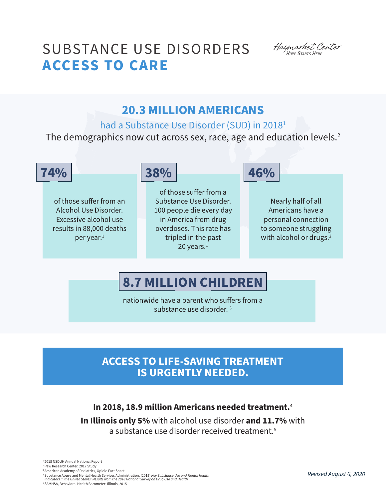# SUBSTANCE USE DISORDERS **ACCESS TO CARE**

Haymarket Center<br>HOPE STARTS HERE

# **20.3 MILLION AMERICANS**

had a Substance Use Disorder (SUD) in 20181

The demographics now cut across sex, race, age and education levels.<sup>2</sup>

of those suffer from an Alcohol Use Disorder. Excessive alcohol use results in 88,000 deaths per year.<sup>1</sup>



of those suffer from a Substance Use Disorder. 100 people die every day in America from drug overdoses. This rate has tripled in the past 20 years. $1$ 



Nearly half of all Americans have a personal connection to someone struggling with alcohol or drugs.<sup>2</sup>

# **8.7 MILLION CHILDREN**

nationwide have a parent who suffers from a substance use disorder.<sup>3</sup>

### **ACCESS TO LIFE-SAVING TREATMENT IS URGENTLY NEEDED.**

**In 2018, 18.9 million Americans needed treatment.**<sup>4</sup>

**In Illinois only 5%** with alcohol use disorder **and 11.7%** with a substance use disorder received treatment.<sup>5</sup>

1 2018 NSDUH Annual National Report 2 Pew Research Center, 2017 Study 3 American Academy of Pediatrics, Opioid Fact Sheet

<sup>4</sup> Substance Abuse and Mental Health Services Administration. (2019) *Key Substance Use and Mental Health Indicators in the United States: Results from the 2018 National Survey on Drug Use and Health.*

5 SAMHSA, Behavioral Health Barometer: Illinois, 2015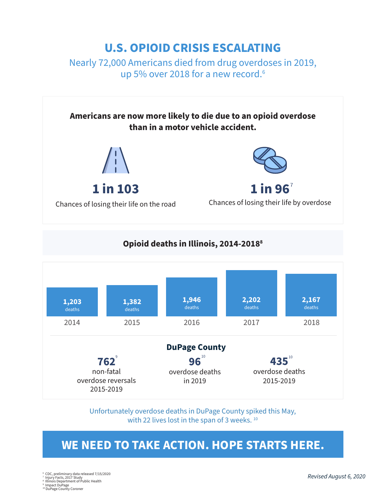## **U.S. OPIOID CRISIS ESCALATING**

Nearly 72,000 Americans died from drug overdoses in 2019, up 5% over 2018 for a new record.<sup>6</sup>



### **Opioid deaths in Illinois, 2014-20188**



Unfortunately overdose deaths in DuPage County spiked this May, with 22 lives lost in the span of 3 weeks.<sup>10</sup>

### **WE NEED TO TAKE ACTION. HOPE STARTS HERE.**

6 CDC, preliminary data released 7/15/2020 7 Injury Facts, 2017 Study 8 Illinois Department of Public Health

9 Impact DuPage 10 DuPage County Coroner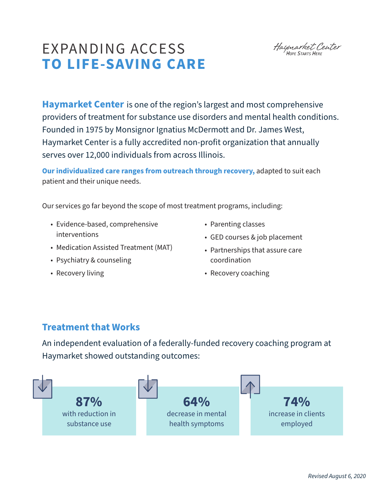# EXPANDING ACCESS **TO LIFE-SAVING CARE**

Haymarket Center<br>HOPE STARTS HERE

**Haymarket Center** is one of the region's largest and most comprehensive providers of treatment for substance use disorders and mental health conditions. Founded in 1975 by Monsignor Ignatius McDermott and Dr. James West, Haymarket Center is a fully accredited non-profit organization that annually serves over 12,000 individuals from across Illinois.

**Our individualized care ranges from outreach through recovery,** adapted to suit each patient and their unique needs.

Our services go far beyond the scope of most treatment programs, including:

- Evidence-based, comprehensive interventions
- Medication Assisted Treatment (MAT)
- Psychiatry & counseling
- Recovery living
- Parenting classes
- GED courses & job placement
- Partnerships that assure care coordination
- Recovery coaching

### **Treatment that Works**

An independent evaluation of a federally-funded recovery coaching program at Haymarket showed outstanding outcomes: